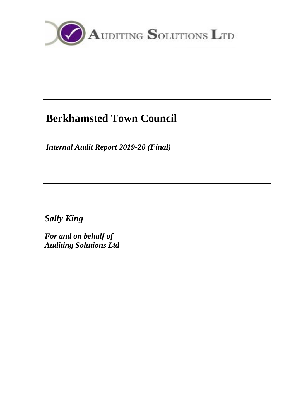

# **Berkhamsted Town Council**

*Internal Audit Report 2019-20 (Final)*

*Sally King*

*For and on behalf of Auditing Solutions Ltd*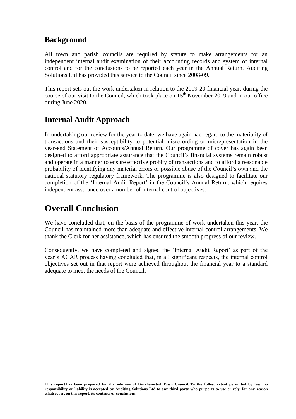### **Background**

All town and parish councils are required by statute to make arrangements for an independent internal audit examination of their accounting records and system of internal control and for the conclusions to be reported each year in the Annual Return. Auditing Solutions Ltd has provided this service to the Council since 2008-09.

This report sets out the work undertaken in relation to the 2019-20 financial year, during the course of our visit to the Council, which took place on 15<sup>th</sup> November 2019 and in our office during June 2020.

### **Internal Audit Approach**

In undertaking our review for the year to date, we have again had regard to the materiality of transactions and their susceptibility to potential misrecording or misrepresentation in the year-end Statement of Accounts/Annual Return. Our programme of cover has again been designed to afford appropriate assurance that the Council's financial systems remain robust and operate in a manner to ensure effective probity of transactions and to afford a reasonable probability of identifying any material errors or possible abuse of the Council's own and the national statutory regulatory framework. The programme is also designed to facilitate our completion of the 'Internal Audit Report' in the Council's Annual Return, which requires independent assurance over a number of internal control objectives.

## **Overall Conclusion**

We have concluded that, on the basis of the programme of work undertaken this year, the Council has maintained more than adequate and effective internal control arrangements. We thank the Clerk for her assistance, which has ensured the smooth progress of our review.

Consequently, we have completed and signed the 'Internal Audit Report' as part of the year's AGAR process having concluded that, in all significant respects, the internal control objectives set out in that report were achieved throughout the financial year to a standard adequate to meet the needs of the Council.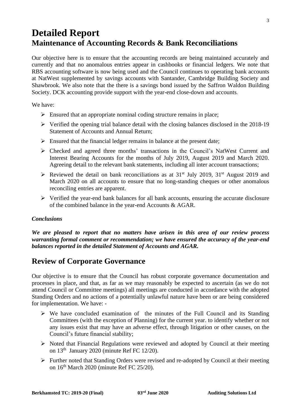# **Detailed Report Maintenance of Accounting Records & Bank Reconciliations**

Our objective here is to ensure that the accounting records are being maintained accurately and currently and that no anomalous entries appear in cashbooks or financial ledgers. We note that RBS accounting software is now being used and the Council continues to operating bank accounts at NatWest supplemented by savings accounts with Santander, Cambridge Building Society and Shawbrook. We also note that the there is a savings bond issued by the Saffron Waldon Building Society. DCK accounting provide support with the year-end close-down and accounts.

We have:

- $\triangleright$  Ensured that an appropriate nominal coding structure remains in place;
- ➢ Verified the opening trial balance detail with the closing balances disclosed in the 2018-19 Statement of Accounts and Annual Return;
- $\triangleright$  Ensured that the financial ledger remains in balance at the present date;
- ➢ Checked and agreed three months' transactions in the Council's NatWest Current and Interest Bearing Accounts for the months of July 2019, August 2019 and March 2020. Agreeing detail to the relevant bank statements, including all inter account transactions;
- $\triangleright$  Reviewed the detail on bank reconciliations as at 31<sup>st</sup> July 2019, 31<sup>st</sup> August 2019 and March 2020 on all accounts to ensure that no long-standing cheques or other anomalous reconciling entries are apparent.
- ➢ Verified the year-end bank balances for all bank accounts, ensuring the accurate disclosure of the combined balance in the year-end Accounts & AGAR.

#### *Conclusions*

*We are pleased to report that no matters have arisen in this area of our review process warranting formal comment or recommendation; we have ensured the accuracy of the year-end balances reported in the detailed Statement of Accounts and AGAR.*

### **Review of Corporate Governance**

Our objective is to ensure that the Council has robust corporate governance documentation and processes in place, and that, as far as we may reasonably be expected to ascertain (as we do not attend Council or Committee meetings) all meetings are conducted in accordance with the adopted Standing Orders and no actions of a potentially unlawful nature have been or are being considered for implementation. We have: -

- $\triangleright$  We have concluded examination of the minutes of the Full Council and its Standing Committees (with the exception of Planning) for the current year. to identify whether or not any issues exist that may have an adverse effect, through litigation or other causes, on the Council's future financial stability;
- ➢ Noted that Financial Regulations were reviewed and adopted by Council at their meeting on  $13<sup>th</sup>$  January 2020 (minute Ref FC 12/20).
- ➢ Further noted that Standing Orders were revised and re-adopted by Council at their meeting on 16<sup>th</sup> March 2020 (minute Ref FC 25/20).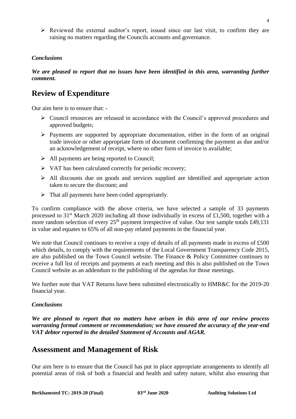$\triangleright$  Reviewed the external auditor's report, issued since our last visit, to confirm they are raising no matters regarding the Councils accounts and governance.

#### *Conclusions*

*We are pleased to report that no issues have been identified in this area, warranting further comment.* 

### **Review of Expenditure**

Our aim here is to ensure that: -

- ➢ Council resources are released in accordance with the Council's approved procedures and approved budgets;
- $\triangleright$  Payments are supported by appropriate documentation, either in the form of an original trade invoice or other appropriate form of document confirming the payment as due and/or an acknowledgement of receipt, where no other form of invoice is available;
- ➢ All payments are being reported to Council;
- ➢ VAT has been calculated correctly for periodic recovery;
- $\triangleright$  All discounts due on goods and services supplied are identified and appropriate action taken to secure the discount; and
- $\triangleright$  That all payments have been coded appropriately.

To confirm compliance with the above criteria, we have selected a sample of 33 payments processed to  $31<sup>st</sup>$  March 2020 including all those individually in excess of £1,500, together with a more random selection of every  $25<sup>th</sup>$  payment irrespective of value. Our test sample totals £49,131 in value and equates to 65% of all non-pay related payments in the financial year.

We note that Council continues to receive a copy of details of all payments made in excess of £500 which details, to comply with the requirements of the Local Government Transparency Code 2015, are also published on the Town Council website. The Finance & Policy Committee continues to receive a full list of receipts and payments at each meeting and this is also published on the Town Council website as an addendum to the publishing of the agendas for those meetings.

We further note that VAT Returns have been submitted electronically to HMR&C for the 2019-20 financial year.

#### *Conclusions*

*We are pleased to report that no matters have arisen in this area of our review process warranting formal comment or recommendation; we have ensured the accuracy of the year-end VAT debtor reported in the detailed Statement of Accounts and AGAR.*

### **Assessment and Management of Risk**

Our aim here is to ensure that the Council has put in place appropriate arrangements to identify all potential areas of risk of both a financial and health and safety nature, whilst also ensuring that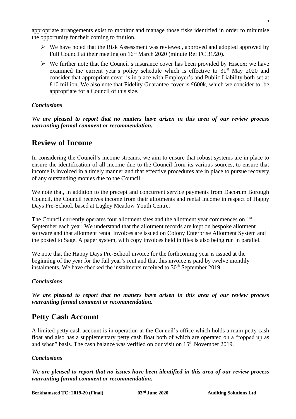appropriate arrangements exist to monitor and manage those risks identified in order to minimise the opportunity for their coming to fruition.

- ➢ We have noted that the Risk Assessment was reviewed, approved and adopted approved by Full Council at their meeting on 16<sup>th</sup> March 2020 (minute Ref FC 31/20).
- $\triangleright$  We further note that the Council's insurance cover has been provided by Hiscox: we have examined the current year's policy schedule which is effective to  $31<sup>st</sup>$  May 2020 and consider that appropriate cover is in place with Employer's and Public Liability both set at £10 million. We also note that Fidelity Guarantee cover is £600k, which we consider to be appropriate for a Council of this size.

#### *Conclusions*

*We are pleased to report that no matters have arisen in this area of our review process warranting formal comment or recommendation.*

### **Review of Income**

In considering the Council's income streams, we aim to ensure that robust systems are in place to ensure the identification of all income due to the Council from its various sources, to ensure that income is invoiced in a timely manner and that effective procedures are in place to pursue recovery of any outstanding monies due to the Council.

We note that, in addition to the precept and concurrent service payments from Dacorum Borough Council, the Council receives income from their allotments and rental income in respect of Happy Days Pre-School, based at Lagley Meadow Youth Centre.

The Council currently operates four allotment sites and the allotment year commences on 1st September each year. We understand that the allotment records are kept on bespoke allotment software and that allotment rental invoices are issued on Colony Enterprise Allotment System and the posted to Sage. A paper system, with copy invoices held in files is also being run in parallel.

We note that the Happy Days Pre-School invoice for the forthcoming year is issued at the beginning of the year for the full year's rent and that this invoice is paid by twelve monthly instalments. We have checked the instalments received to  $30<sup>th</sup>$  September 2019.

#### *Conclusions*

*We are pleased to report that no matters have arisen in this area of our review process warranting formal comment or recommendation.*

### **Petty Cash Account**

A limited petty cash account is in operation at the Council's office which holds a main petty cash float and also has a supplementary petty cash float both of which are operated on a "topped up as and when" basis. The cash balance was verified on our visit on 15<sup>th</sup> November 2019.

#### *Conclusions*

*We are pleased to report that no issues have been identified in this area of our review process warranting formal comment or recommendation.*

**Berkhamsted TC: 2019-20 (Final) 03rd June 2020 Auditing Solutions Ltd**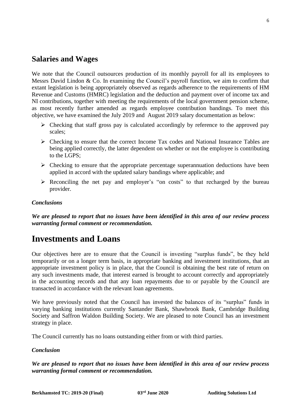### **Salaries and Wages**

We note that the Council outsources production of its monthly payroll for all its employees to Messrs David Lindon & Co. In examining the Council's payroll function, we aim to confirm that extant legislation is being appropriately observed as regards adherence to the requirements of HM Revenue and Customs (HMRC) legislation and the deduction and payment over of income tax and NI contributions, together with meeting the requirements of the local government pension scheme, as most recently further amended as regards employee contribution bandings. To meet this objective, we have examined the July 2019 and August 2019 salary documentation as below:

- ➢ Checking that staff gross pay is calculated accordingly by reference to the approved pay scales;
- ➢ Checking to ensure that the correct Income Tax codes and National Insurance Tables are being applied correctly, the latter dependent on whether or not the employee is contributing to the LGPS;
- $\triangleright$  Checking to ensure that the appropriate percentage superannuation deductions have been applied in accord with the updated salary bandings where applicable; and
- ➢ Reconciling the net pay and employer's "on costs" to that recharged by the bureau provider.

#### *Conclusions*

*We are pleased to report that no issues have been identified in this area of our review process warranting formal comment or recommendation.*

### **Investments and Loans**

Our objectives here are to ensure that the Council is investing "surplus funds", be they held temporarily or on a longer term basis, in appropriate banking and investment institutions, that an appropriate investment policy is in place, that the Council is obtaining the best rate of return on any such investments made, that interest earned is brought to account correctly and appropriately in the accounting records and that any loan repayments due to or payable by the Council are transacted in accordance with the relevant loan agreements.

We have previously noted that the Council has invested the balances of its "surplus" funds in varying banking institutions currently Santander Bank, Shawbrook Bank, Cambridge Building Society and Saffron Waldon Building Society. We are pleased to note Council has an investment strategy in place.

The Council currently has no loans outstanding either from or with third parties.

#### *Conclusion*

*We are pleased to report that no issues have been identified in this area of our review process warranting formal comment or recommendation.*